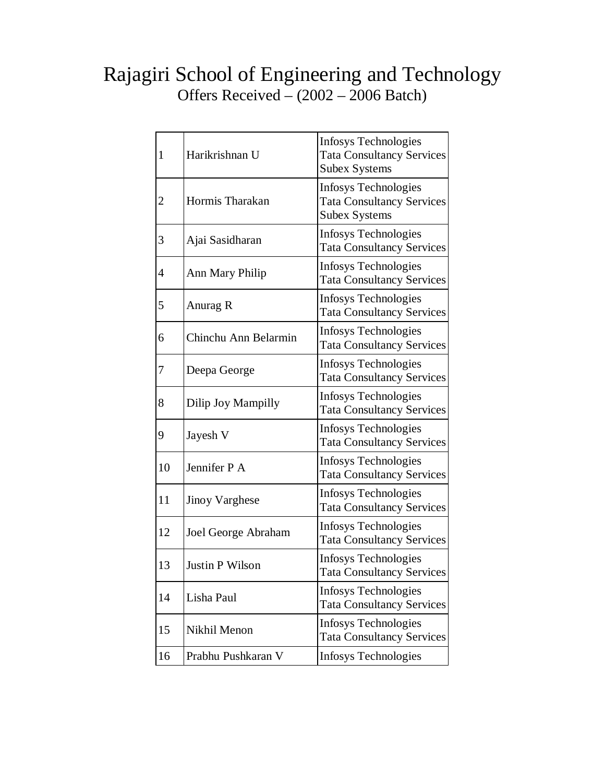## Rajagiri School of Engineering and Technology Offers Received – (2002 – 2006 Batch)

| $\mathbf{1}$ | Harikrishnan U         | <b>Infosys Technologies</b><br><b>Tata Consultancy Services</b><br><b>Subex Systems</b> |
|--------------|------------------------|-----------------------------------------------------------------------------------------|
| 2            | Hormis Tharakan        | <b>Infosys Technologies</b><br><b>Tata Consultancy Services</b><br><b>Subex Systems</b> |
| 3            | Ajai Sasidharan        | Infosys Technologies<br><b>Tata Consultancy Services</b>                                |
| 4            | <b>Ann Mary Philip</b> | <b>Infosys Technologies</b><br><b>Tata Consultancy Services</b>                         |
| 5            | Anurag R               | Infosys Technologies<br><b>Tata Consultancy Services</b>                                |
| 6            | Chinchu Ann Belarmin   | <b>Infosys Technologies</b><br><b>Tata Consultancy Services</b>                         |
| 7            | Deepa George           | Infosys Technologies<br><b>Tata Consultancy Services</b>                                |
| 8            | Dilip Joy Mampilly     | Infosys Technologies<br><b>Tata Consultancy Services</b>                                |
| 9            | Jayesh V               | Infosys Technologies<br><b>Tata Consultancy Services</b>                                |
| 10           | Jennifer P A           | Infosys Technologies<br><b>Tata Consultancy Services</b>                                |
| 11           | <b>Jinoy Varghese</b>  | Infosys Technologies<br><b>Tata Consultancy Services</b>                                |
| 12           | Joel George Abraham    | <b>Infosys Technologies</b><br><b>Tata Consultancy Services</b>                         |
| 13           | <b>Justin P Wilson</b> | Infosys Technologies<br><b>Tata Consultancy Services</b>                                |
| 14           | Lisha Paul             | <b>Infosys Technologies</b><br><b>Tata Consultancy Services</b>                         |
| 15           | Nikhil Menon           | Infosys Technologies<br><b>Tata Consultancy Services</b>                                |
| 16           | Prabhu Pushkaran V     | Infosys Technologies                                                                    |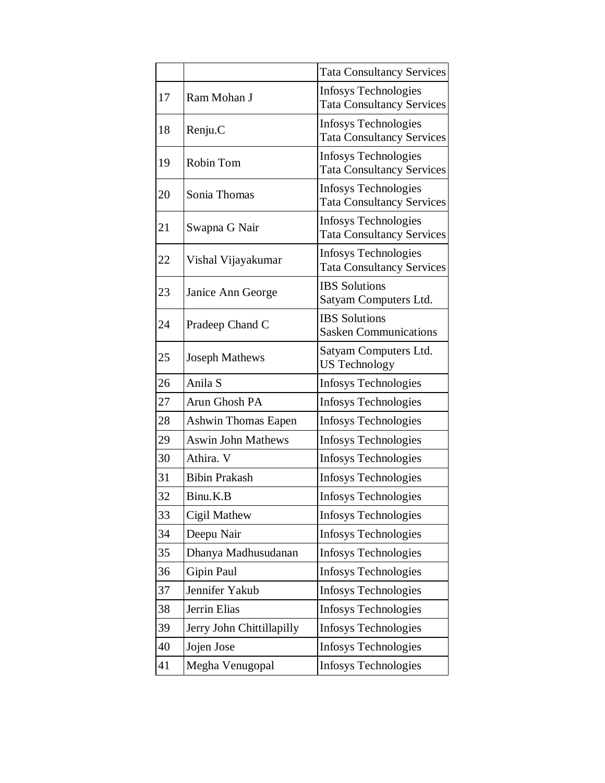|    |                            | <b>Tata Consultancy Services</b>                                |  |  |
|----|----------------------------|-----------------------------------------------------------------|--|--|
| 17 | Ram Mohan J                | <b>Infosys Technologies</b><br><b>Tata Consultancy Services</b> |  |  |
| 18 | Renju.C                    | <b>Infosys Technologies</b><br><b>Tata Consultancy Services</b> |  |  |
| 19 | Robin Tom                  | Infosys Technologies<br><b>Tata Consultancy Services</b>        |  |  |
| 20 | Sonia Thomas               | <b>Infosys Technologies</b><br><b>Tata Consultancy Services</b> |  |  |
| 21 | Swapna G Nair              | <b>Infosys Technologies</b><br><b>Tata Consultancy Services</b> |  |  |
| 22 | Vishal Vijayakumar         | Infosys Technologies<br><b>Tata Consultancy Services</b>        |  |  |
| 23 | Janice Ann George          | <b>IBS</b> Solutions<br>Satyam Computers Ltd.                   |  |  |
| 24 | Pradeep Chand C            | <b>IBS</b> Solutions<br><b>Sasken Communications</b>            |  |  |
| 25 | <b>Joseph Mathews</b>      | Satyam Computers Ltd.<br><b>US Technology</b>                   |  |  |
| 26 | Anila S                    | Infosys Technologies                                            |  |  |
| 27 | Arun Ghosh PA              | Infosys Technologies                                            |  |  |
| 28 | <b>Ashwin Thomas Eapen</b> | Infosys Technologies                                            |  |  |
| 29 | <b>Aswin John Mathews</b>  | Infosys Technologies                                            |  |  |
| 30 | Athira. V                  | <b>Infosys Technologies</b>                                     |  |  |
| 31 | <b>Bibin Prakash</b>       | Infosys Technologies                                            |  |  |
| 32 | Binu.K.B                   | Infosys Technologies                                            |  |  |
| 33 | Cigil Mathew               | <b>Infosys Technologies</b>                                     |  |  |
| 34 | Deepu Nair                 | Infosys Technologies                                            |  |  |
| 35 | Dhanya Madhusudanan        | Infosys Technologies                                            |  |  |
| 36 | Gipin Paul                 | Infosys Technologies                                            |  |  |
| 37 | Jennifer Yakub             | Infosys Technologies                                            |  |  |
| 38 | Jerrin Elias               | <b>Infosys Technologies</b>                                     |  |  |
| 39 | Jerry John Chittillapilly  | Infosys Technologies                                            |  |  |
| 40 | Jojen Jose                 | <b>Infosys Technologies</b>                                     |  |  |
| 41 | Megha Venugopal            | Infosys Technologies                                            |  |  |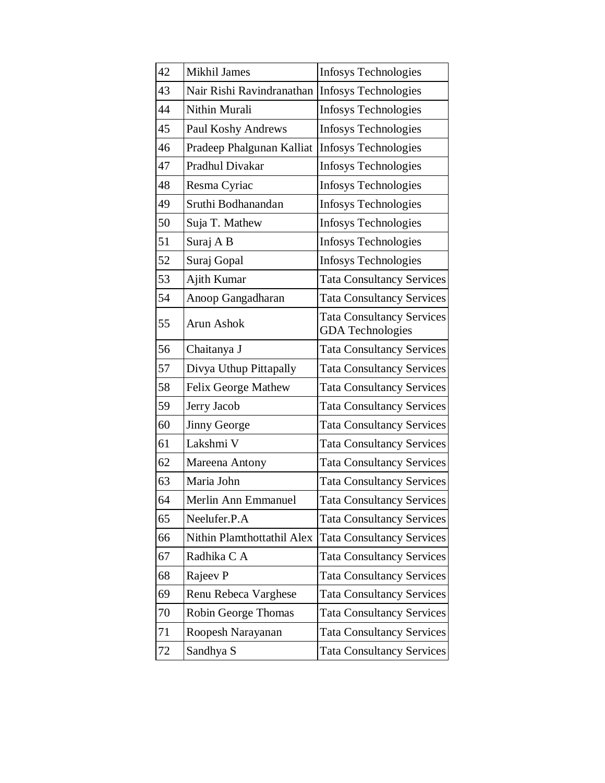| 42 | <b>Mikhil James</b>        | <b>Infosys Technologies</b>                                 |
|----|----------------------------|-------------------------------------------------------------|
| 43 | Nair Rishi Ravindranathan  | <b>Infosys Technologies</b>                                 |
| 44 | Nithin Murali              | <b>Infosys Technologies</b>                                 |
| 45 | Paul Koshy Andrews         | <b>Infosys Technologies</b>                                 |
| 46 | Pradeep Phalgunan Kalliat  | Infosys Technologies                                        |
| 47 | Pradhul Divakar            | <b>Infosys Technologies</b>                                 |
| 48 | Resma Cyriac               | Infosys Technologies                                        |
| 49 | Sruthi Bodhanandan         | Infosys Technologies                                        |
| 50 | Suja T. Mathew             | Infosys Technologies                                        |
| 51 | Suraj A B                  | <b>Infosys Technologies</b>                                 |
| 52 | Suraj Gopal                | <b>Infosys Technologies</b>                                 |
| 53 | Ajith Kumar                | <b>Tata Consultancy Services</b>                            |
| 54 | Anoop Gangadharan          | <b>Tata Consultancy Services</b>                            |
| 55 | Arun Ashok                 | <b>Tata Consultancy Services</b><br><b>GDA</b> Technologies |
| 56 | Chaitanya J                | <b>Tata Consultancy Services</b>                            |
| 57 | Divya Uthup Pittapally     | <b>Tata Consultancy Services</b>                            |
| 58 | Felix George Mathew        | <b>Tata Consultancy Services</b>                            |
| 59 | Jerry Jacob                | <b>Tata Consultancy Services</b>                            |
| 60 | <b>Jinny George</b>        | <b>Tata Consultancy Services</b>                            |
| 61 | Lakshmi V                  | <b>Tata Consultancy Services</b>                            |
| 62 | Mareena Antony             | <b>Tata Consultancy Services</b>                            |
| 63 | Maria John                 | <b>Tata Consultancy Services</b>                            |
| 64 | Merlin Ann Emmanuel        | <b>Tata Consultancy Services</b>                            |
| 65 | Neelufer.P.A               | <b>Tata Consultancy Services</b>                            |
| 66 | Nithin Plamthottathil Alex | <b>Tata Consultancy Services</b>                            |
| 67 | Radhika C A                | <b>Tata Consultancy Services</b>                            |
| 68 | Rajeev P                   | <b>Tata Consultancy Services</b>                            |
| 69 | Renu Rebeca Varghese       | <b>Tata Consultancy Services</b>                            |
| 70 | Robin George Thomas        | <b>Tata Consultancy Services</b>                            |
| 71 | Roopesh Narayanan          | <b>Tata Consultancy Services</b>                            |
| 72 | Sandhya S                  | <b>Tata Consultancy Services</b>                            |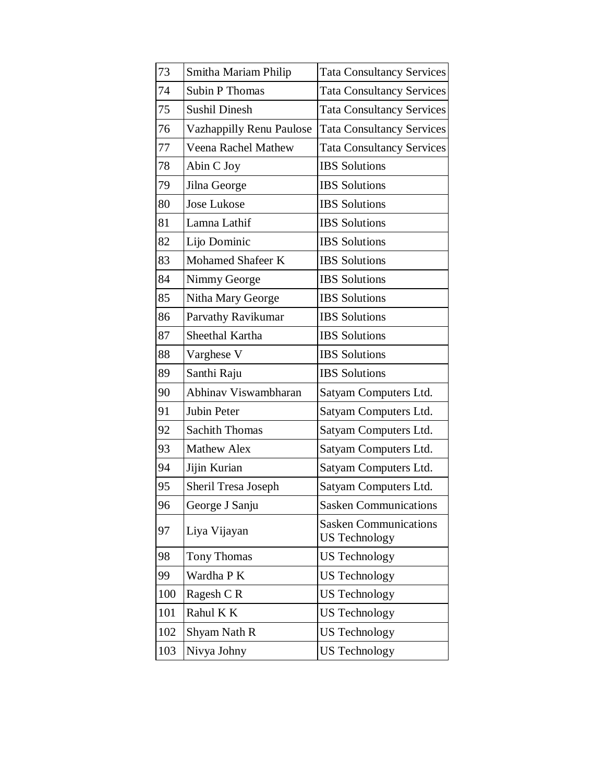| 73  | Smitha Mariam Philip     | <b>Tata Consultancy Services</b>                     |  |  |
|-----|--------------------------|------------------------------------------------------|--|--|
| 74  | <b>Subin P Thomas</b>    | <b>Tata Consultancy Services</b>                     |  |  |
| 75  | <b>Sushil Dinesh</b>     | <b>Tata Consultancy Services</b>                     |  |  |
| 76  | Vazhappilly Renu Paulose | <b>Tata Consultancy Services</b>                     |  |  |
| 77  | Veena Rachel Mathew      | <b>Tata Consultancy Services</b>                     |  |  |
| 78  | Abin C Joy               | <b>IBS</b> Solutions                                 |  |  |
| 79  | Jilna George             | <b>IBS</b> Solutions                                 |  |  |
| 80  | <b>Jose Lukose</b>       | <b>IBS</b> Solutions                                 |  |  |
| 81  | Lamna Lathif             | <b>IBS</b> Solutions                                 |  |  |
| 82  | Lijo Dominic             | <b>IBS</b> Solutions                                 |  |  |
| 83  | <b>Mohamed Shafeer K</b> | <b>IBS</b> Solutions                                 |  |  |
| 84  | Nimmy George             | <b>IBS</b> Solutions                                 |  |  |
| 85  | Nitha Mary George        | <b>IBS</b> Solutions                                 |  |  |
| 86  | Parvathy Ravikumar       | <b>IBS</b> Solutions                                 |  |  |
| 87  | Sheethal Kartha          | <b>IBS</b> Solutions                                 |  |  |
| 88  | Varghese V               | <b>IBS</b> Solutions                                 |  |  |
| 89  | Santhi Raju              | <b>IBS</b> Solutions                                 |  |  |
| 90  | Abhinav Viswambharan     | Satyam Computers Ltd.                                |  |  |
| 91  | Jubin Peter              | Satyam Computers Ltd.                                |  |  |
| 92  | <b>Sachith Thomas</b>    | Satyam Computers Ltd.                                |  |  |
| 93  | <b>Mathew Alex</b>       | Satyam Computers Ltd.                                |  |  |
| 94  | Jijin Kurian             | Satyam Computers Ltd.                                |  |  |
| 95  | Sheril Tresa Joseph      | Satyam Computers Ltd.                                |  |  |
| 96  | George J Sanju           | <b>Sasken Communications</b>                         |  |  |
| 97  | Liya Vijayan             | <b>Sasken Communications</b><br><b>US Technology</b> |  |  |
| 98  | <b>Tony Thomas</b>       | <b>US</b> Technology                                 |  |  |
| 99  | Wardha P K               | <b>US</b> Technology                                 |  |  |
| 100 | Ragesh CR                | <b>US Technology</b>                                 |  |  |
| 101 | Rahul K K                | <b>US</b> Technology                                 |  |  |
| 102 | Shyam Nath R             | <b>US Technology</b>                                 |  |  |
| 103 | Nivya Johny              | <b>US Technology</b>                                 |  |  |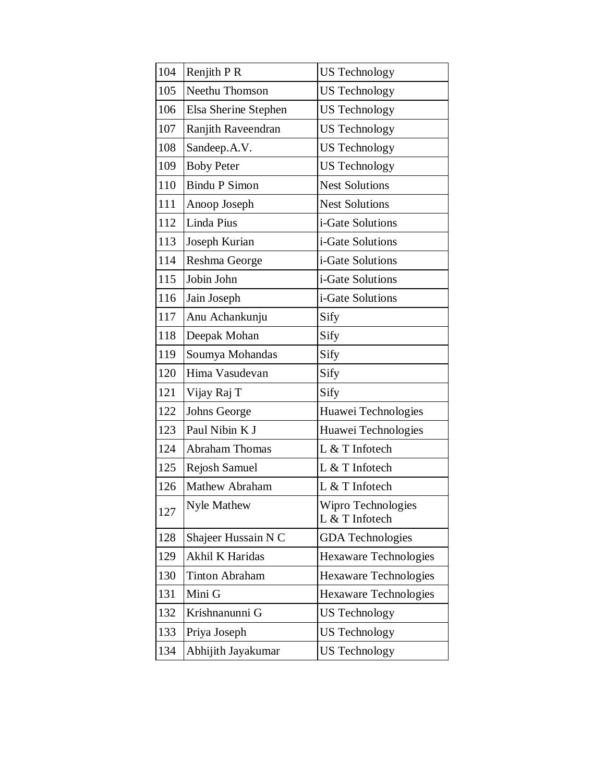| 104 | Renjith P R           | <b>US Technology</b>                 |  |
|-----|-----------------------|--------------------------------------|--|
| 105 | Neethu Thomson        | <b>US Technology</b>                 |  |
| 106 | Elsa Sherine Stephen  | <b>US</b> Technology                 |  |
| 107 | Ranjith Raveendran    | <b>US</b> Technology                 |  |
| 108 | Sandeep.A.V.          | <b>US Technology</b>                 |  |
| 109 | <b>Boby Peter</b>     | <b>US Technology</b>                 |  |
| 110 | <b>Bindu P Simon</b>  | <b>Nest Solutions</b>                |  |
| 111 | Anoop Joseph          | <b>Nest Solutions</b>                |  |
| 112 | Linda Pius            | i-Gate Solutions                     |  |
| 113 | Joseph Kurian         | i-Gate Solutions                     |  |
| 114 | Reshma George         | i-Gate Solutions                     |  |
| 115 | Jobin John            | i-Gate Solutions                     |  |
| 116 | Jain Joseph           | i-Gate Solutions                     |  |
| 117 | Anu Achankunju        | Sify                                 |  |
| 118 | Deepak Mohan          | Sify                                 |  |
| 119 | Soumya Mohandas       | Sify                                 |  |
| 120 | Hima Vasudevan        | Sify                                 |  |
| 121 | Vijay Raj T           | Sify                                 |  |
| 122 | Johns George          | Huawei Technologies                  |  |
| 123 | Paul Nibin K J        | Huawei Technologies                  |  |
| 124 | <b>Abraham Thomas</b> | L & T Infotech                       |  |
| 125 | Rejosh Samuel         | L & T Infotech                       |  |
| 126 | Mathew Abraham        | L & T Infotech                       |  |
| 127 | Nyle Mathew           | Wipro Technologies<br>L & T Infotech |  |
| 128 | Shajeer Hussain N C   | <b>GDA</b> Technologies              |  |
| 129 | Akhil K Haridas       | Hexaware Technologies                |  |
| 130 | <b>Tinton Abraham</b> | Hexaware Technologies                |  |
| 131 | Mini G                | Hexaware Technologies                |  |
| 132 | Krishnanunni G        | US Technology                        |  |
| 133 | Priya Joseph          | <b>US Technology</b>                 |  |
| 134 | Abhijith Jayakumar    | <b>US Technology</b>                 |  |